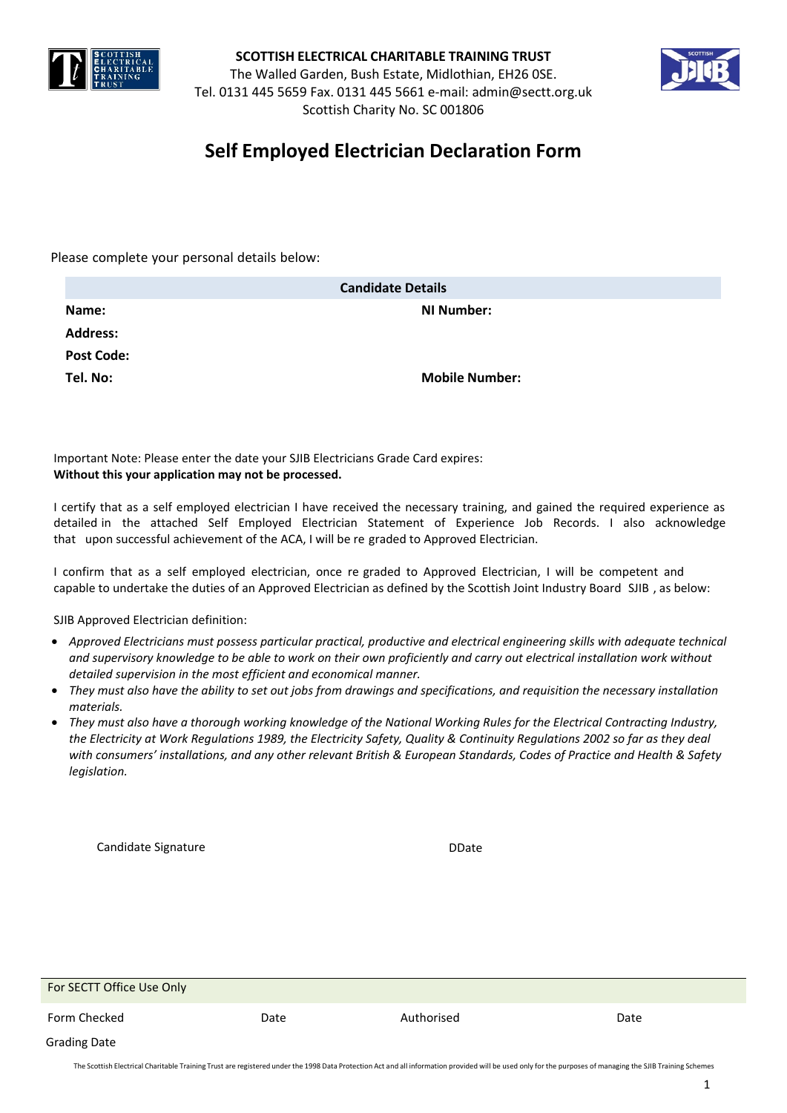



# **Self Employed Electrician Declaration Form**

Please complete your personal details below:

|                   | <b>Candidate Details</b> |  |  |
|-------------------|--------------------------|--|--|
| Name:             | NI Number:               |  |  |
| <b>Address:</b>   |                          |  |  |
| <b>Post Code:</b> |                          |  |  |
| Tel. No:          | <b>Mobile Number:</b>    |  |  |
|                   |                          |  |  |

Important Note: Please enter the date your SJIB Electricians Grade Card expires: **Without this your application may not be processed.** 

I certify that as a self employed electrician I have received the necessary training, and gained the required experience as detailed in the attached Self Employed Electrician Statement of Experience Job Records. I also acknowledge that upon successful achievement of the ACA, I will be re graded to Approved Electrician.

I confirm that as a self employed electrician, once re graded to Approved Electrician, I will be competent and capable to undertake the duties of an Approved Electrician as defined by the Scottish Joint Industry Board SJIB, as below:

SJIB Approved Electrician definition:

- *Approved Electricians must possess particular practical, productive and electrical engineering skills with adequate technical and supervisory knowledge to be able to work on their own proficiently and carry out electrical installation work without detailed supervision in the most efficient and economical manner.*
- *They must also have the ability to set out jobs from drawings and specifications, and requisition the necessary installation materials.*
- *They must also have a thorough working knowledge of the National Working Rules for the Electrical Contracting Industry, the Electricity at Work Regulations 1989, the Electricity Safety, Quality & Continuity Regulations 2002 so far as they deal with consumers' installations, and any other relevant British & European Standards, Codes of Practice and Health & Safety legislation.*

Candidate Signature **DDate** 

| For SECTT Office Use Only |      |            |      |
|---------------------------|------|------------|------|
| Form Checked              | Date | Authorised | Date |
| <b>Grading Date</b>       |      |            |      |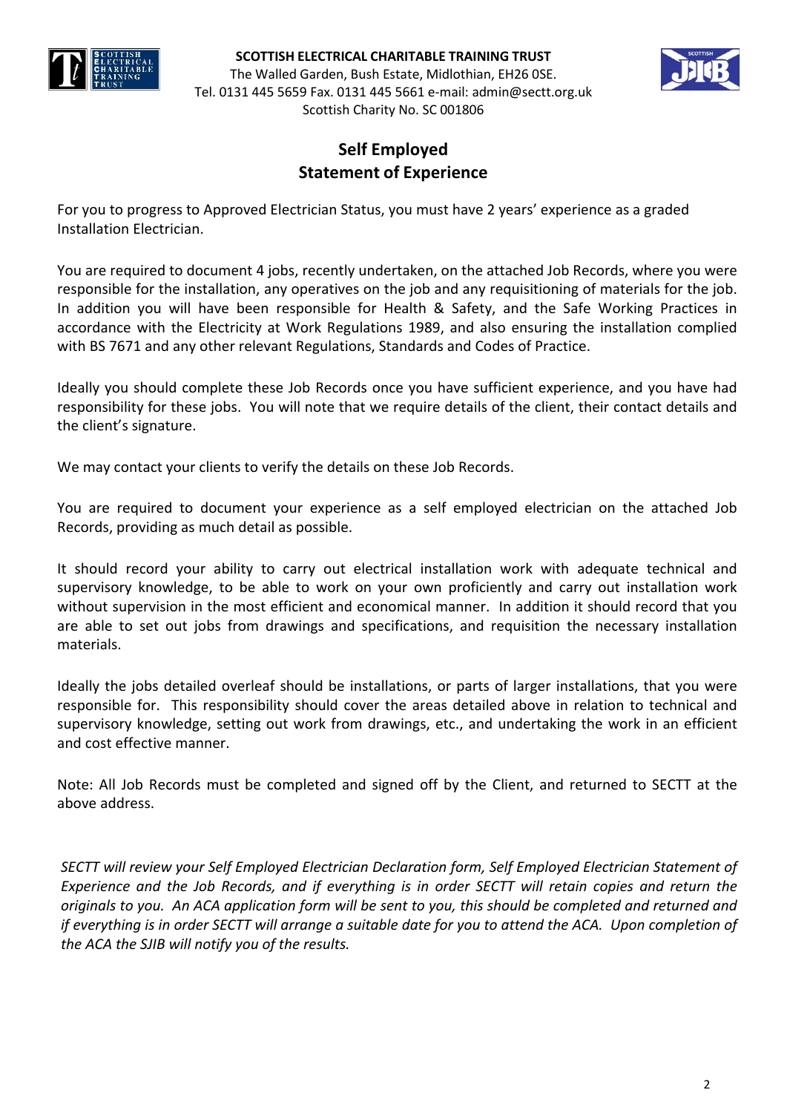

The Walled Garden, Bush Estate, Midlothian, EH26 0SE. Tel. 0131 445 5659 Fax. 0131 445 5661 e-mail: [admin@sectt.org.uk](mailto:admin@sectt.org.uk) Scottish Charity No. SC 001806



# **Self Employed Statement of Experience**

For you to progress to Approved Electrician Status, you must have 2 years' experience as a graded Installation Electrician.

You are required to document 4 jobs, recently undertaken, on the attached Job Records, where you were responsible for the installation, any operatives on the job and any requisitioning of materials for the job. In addition you will have been responsible for Health & Safety, and the Safe Working Practices in accordance with the Electricity at Work Regulations 1989, and also ensuring the installation complied with BS 7671 and any other relevant Regulations, Standards and Codes of Practice.

Ideally you should complete these Job Records once you have sufficient experience, and you have had responsibility for these jobs. You will note that we require details of the client, their contact details and the client's signature.

We may contact your clients to verify the details on these Job Records.

You are required to document your experience as a self employed electrician on the attached Job Records, providing as much detail as possible.

It should record your ability to carry out electrical installation work with adequate technical and supervisory knowledge, to be able to work on your own proficiently and carry out installation work without supervision in the most efficient and economical manner. In addition it should record that you are able to set out jobs from drawings and specifications, and requisition the necessary installation materials.

Ideally the jobs detailed overleaf should be installations, or parts of larger installations, that you were responsible for. This responsibility should cover the areas detailed above in relation to technical and supervisory knowledge, setting out work from drawings, etc., and undertaking the work in an efficient and cost effective manner.

Note: All Job Records must be completed and signed off by the Client, and returned to SECTT at the above address.

*SECTT will review your Self Employed Electrician Declaration form, Self Employed Electrician Statement of Experience and the Job Records, and if everything is in order SECTT will retain copies and return the originals to you. An ACA application form will be sent to you, this should be completed and returned and if everything is in order SECTT will arrange a suitable date for you to attend the ACA. Upon completion of the ACA the SJIB will notify you of the results.*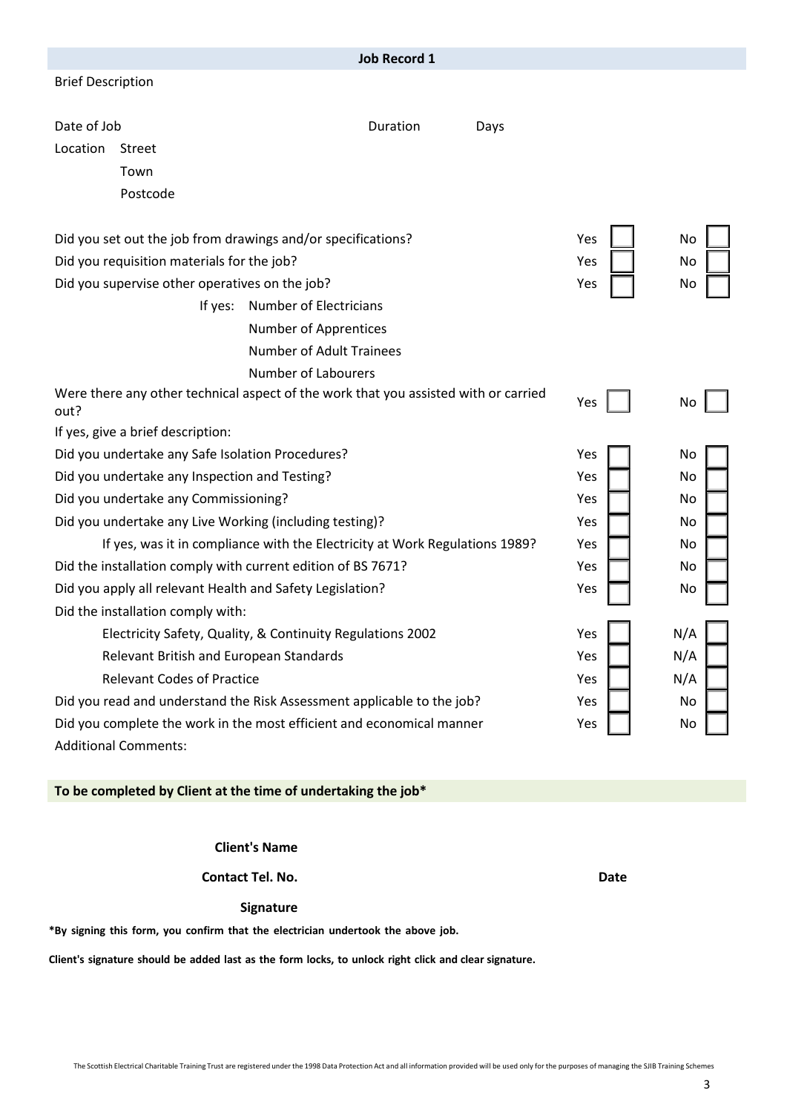| <b>Job Record 1</b>                                                                         |                                                              |                                 |          |      |     |     |  |
|---------------------------------------------------------------------------------------------|--------------------------------------------------------------|---------------------------------|----------|------|-----|-----|--|
| <b>Brief Description</b>                                                                    |                                                              |                                 |          |      |     |     |  |
|                                                                                             |                                                              |                                 |          |      |     |     |  |
| Date of Job                                                                                 |                                                              |                                 | Duration | Days |     |     |  |
| Location                                                                                    | <b>Street</b>                                                |                                 |          |      |     |     |  |
|                                                                                             | Town                                                         |                                 |          |      |     |     |  |
|                                                                                             | Postcode                                                     |                                 |          |      |     |     |  |
|                                                                                             | Did you set out the job from drawings and/or specifications? |                                 |          |      | Yes | No  |  |
|                                                                                             | Did you requisition materials for the job?                   |                                 |          |      | Yes | No  |  |
|                                                                                             | Did you supervise other operatives on the job?               |                                 |          |      | Yes | No  |  |
|                                                                                             | If yes:                                                      | <b>Number of Electricians</b>   |          |      |     |     |  |
|                                                                                             |                                                              | Number of Apprentices           |          |      |     |     |  |
|                                                                                             |                                                              | <b>Number of Adult Trainees</b> |          |      |     |     |  |
|                                                                                             |                                                              | <b>Number of Labourers</b>      |          |      |     |     |  |
| Were there any other technical aspect of the work that you assisted with or carried<br>out? |                                                              |                                 | Yes      | No   |     |     |  |
|                                                                                             | If yes, give a brief description:                            |                                 |          |      |     |     |  |
| Did you undertake any Safe Isolation Procedures?                                            |                                                              |                                 |          |      | Yes | No  |  |
|                                                                                             | Did you undertake any Inspection and Testing?                |                                 |          |      | Yes | No  |  |
| Did you undertake any Commissioning?                                                        |                                                              |                                 |          | Yes  | No  |     |  |
|                                                                                             | Did you undertake any Live Working (including testing)?      |                                 |          |      | Yes | No  |  |
| If yes, was it in compliance with the Electricity at Work Regulations 1989?                 |                                                              |                                 |          |      | Yes | No  |  |
| Did the installation comply with current edition of BS 7671?                                |                                                              |                                 |          | Yes  | No  |     |  |
| Did you apply all relevant Health and Safety Legislation?                                   |                                                              |                                 |          | Yes  | No  |     |  |
|                                                                                             | Did the installation comply with:                            |                                 |          |      |     |     |  |
|                                                                                             | Electricity Safety, Quality, & Continuity Regulations 2002   |                                 |          |      | Yes | N/A |  |
|                                                                                             | Relevant British and European Standards                      |                                 |          |      | Yes | N/A |  |
|                                                                                             | <b>Relevant Codes of Practice</b>                            |                                 |          |      | Yes | N/A |  |
| Did you read and understand the Risk Assessment applicable to the job?                      |                                                              |                                 |          | Yes  | No  |     |  |
| Did you complete the work in the most efficient and economical manner                       |                                                              |                                 |          |      | Yes | No  |  |
|                                                                                             | <b>Additional Comments:</b>                                  |                                 |          |      |     |     |  |

**Client's Name** 

**Contact Tel. No.**

**Date**

**Signature** 

**\*By signing this form, you confirm that the electrician undertook the above job.**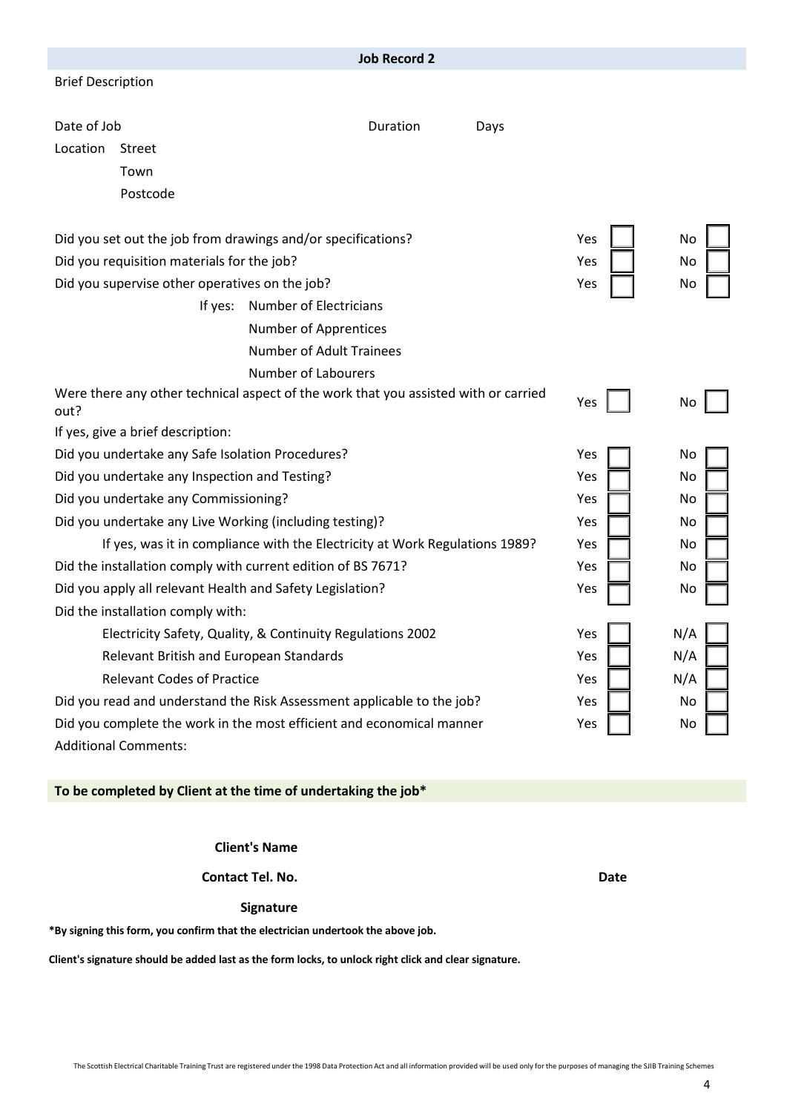|                                                                                             |                                                                             | <b>Job Record 2</b> |      |     |     |
|---------------------------------------------------------------------------------------------|-----------------------------------------------------------------------------|---------------------|------|-----|-----|
| <b>Brief Description</b>                                                                    |                                                                             |                     |      |     |     |
|                                                                                             |                                                                             |                     |      |     |     |
| Date of Job                                                                                 |                                                                             | Duration            | Days |     |     |
| Location<br><b>Street</b>                                                                   |                                                                             |                     |      |     |     |
| Town                                                                                        |                                                                             |                     |      |     |     |
| Postcode                                                                                    |                                                                             |                     |      |     |     |
|                                                                                             |                                                                             |                     |      |     |     |
| Did you set out the job from drawings and/or specifications?                                |                                                                             |                     |      | Yes | No  |
| Did you requisition materials for the job?                                                  |                                                                             |                     |      | Yes | No  |
| Did you supervise other operatives on the job?                                              |                                                                             |                     |      | Yes | No  |
| If yes:                                                                                     | Number of Electricians                                                      |                     |      |     |     |
|                                                                                             | Number of Apprentices                                                       |                     |      |     |     |
|                                                                                             | <b>Number of Adult Trainees</b>                                             |                     |      |     |     |
|                                                                                             | <b>Number of Labourers</b>                                                  |                     |      |     |     |
| Were there any other technical aspect of the work that you assisted with or carried<br>out? |                                                                             |                     |      | Yes | No  |
| If yes, give a brief description:                                                           |                                                                             |                     |      |     |     |
| Did you undertake any Safe Isolation Procedures?                                            |                                                                             |                     |      | Yes | No  |
| Did you undertake any Inspection and Testing?                                               |                                                                             |                     |      | Yes | No  |
| Did you undertake any Commissioning?                                                        |                                                                             |                     |      | Yes | No  |
| Did you undertake any Live Working (including testing)?                                     |                                                                             |                     |      | Yes | No  |
|                                                                                             | If yes, was it in compliance with the Electricity at Work Regulations 1989? |                     |      | Yes | No  |
| Did the installation comply with current edition of BS 7671?                                |                                                                             |                     |      | Yes | No  |
| Did you apply all relevant Health and Safety Legislation?                                   |                                                                             |                     |      | Yes | No  |
| Did the installation comply with:                                                           |                                                                             |                     |      |     |     |
|                                                                                             | Electricity Safety, Quality, & Continuity Regulations 2002                  |                     |      | Yes | N/A |
| Relevant British and European Standards                                                     |                                                                             |                     |      | Yes | N/A |
| <b>Relevant Codes of Practice</b>                                                           |                                                                             |                     |      | Yes | N/A |
| Did you read and understand the Risk Assessment applicable to the job?                      |                                                                             |                     |      | Yes | No  |
| Did you complete the work in the most efficient and economical manner                       |                                                                             |                     |      | Yes | No  |
| <b>Additional Comments:</b>                                                                 |                                                                             |                     |      |     |     |

**Client's Name** 

**Contact Tel. No.**

**Date**

**Signature**

**\*By signing this form, you confirm that the electrician undertook the above job.**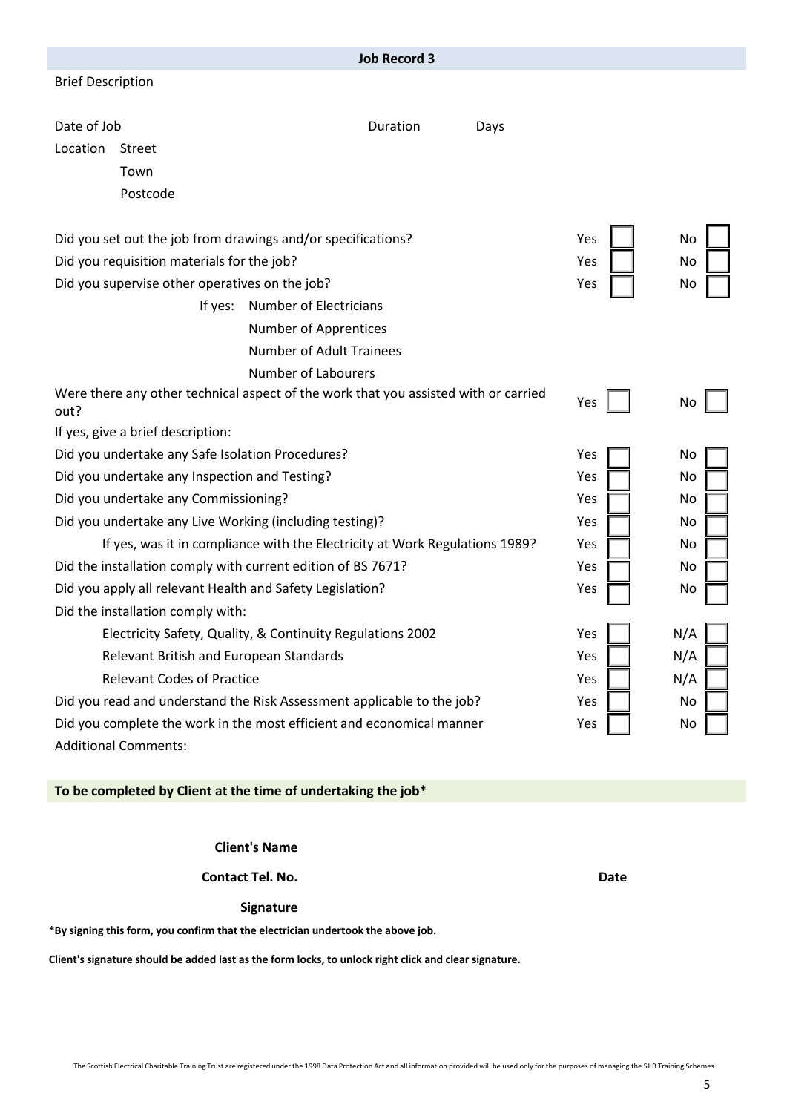|                                                                             |                                                                                     |                                 | <b>Job Record 3</b> |      |     |     |  |
|-----------------------------------------------------------------------------|-------------------------------------------------------------------------------------|---------------------------------|---------------------|------|-----|-----|--|
| <b>Brief Description</b>                                                    |                                                                                     |                                 |                     |      |     |     |  |
|                                                                             |                                                                                     |                                 |                     |      |     |     |  |
| Date of Job                                                                 |                                                                                     |                                 | Duration            | Days |     |     |  |
| Location                                                                    | <b>Street</b>                                                                       |                                 |                     |      |     |     |  |
|                                                                             | Town                                                                                |                                 |                     |      |     |     |  |
|                                                                             | Postcode                                                                            |                                 |                     |      |     |     |  |
|                                                                             | Did you set out the job from drawings and/or specifications?                        |                                 |                     |      | Yes | No  |  |
|                                                                             | Did you requisition materials for the job?                                          |                                 |                     |      | Yes | No  |  |
|                                                                             | Did you supervise other operatives on the job?                                      |                                 |                     |      | Yes | No  |  |
|                                                                             | If yes:                                                                             | <b>Number of Electricians</b>   |                     |      |     |     |  |
|                                                                             |                                                                                     | Number of Apprentices           |                     |      |     |     |  |
|                                                                             |                                                                                     | <b>Number of Adult Trainees</b> |                     |      |     |     |  |
|                                                                             |                                                                                     | <b>Number of Labourers</b>      |                     |      |     |     |  |
| out?                                                                        | Were there any other technical aspect of the work that you assisted with or carried |                                 |                     |      | Yes | No  |  |
|                                                                             | If yes, give a brief description:                                                   |                                 |                     |      |     |     |  |
|                                                                             | Did you undertake any Safe Isolation Procedures?                                    |                                 |                     |      | Yes | No  |  |
|                                                                             | Did you undertake any Inspection and Testing?                                       |                                 |                     |      | Yes | No  |  |
| Did you undertake any Commissioning?                                        |                                                                                     |                                 |                     | Yes  | No  |     |  |
|                                                                             | Did you undertake any Live Working (including testing)?                             |                                 |                     |      | Yes | No  |  |
| If yes, was it in compliance with the Electricity at Work Regulations 1989? |                                                                                     |                                 |                     |      | Yes | No  |  |
| Did the installation comply with current edition of BS 7671?                |                                                                                     |                                 |                     |      | Yes | No  |  |
| Did you apply all relevant Health and Safety Legislation?                   |                                                                                     |                                 |                     | Yes  | No  |     |  |
|                                                                             | Did the installation comply with:                                                   |                                 |                     |      |     |     |  |
|                                                                             | Electricity Safety, Quality, & Continuity Regulations 2002                          |                                 |                     |      | Yes | N/A |  |
|                                                                             | Relevant British and European Standards                                             |                                 |                     |      | Yes | N/A |  |
|                                                                             | <b>Relevant Codes of Practice</b>                                                   |                                 |                     |      | Yes | N/A |  |
| Did you read and understand the Risk Assessment applicable to the job?      |                                                                                     |                                 |                     | Yes  | No  |     |  |
| Did you complete the work in the most efficient and economical manner       |                                                                                     |                                 |                     | Yes  | No  |     |  |
| <b>Additional Comments:</b>                                                 |                                                                                     |                                 |                     |      |     |     |  |

**Client's Name** 

**Contact Tel. No.**

**Date**

**Signature** 

**\*By signing this form, you confirm that the electrician undertook the above job.**